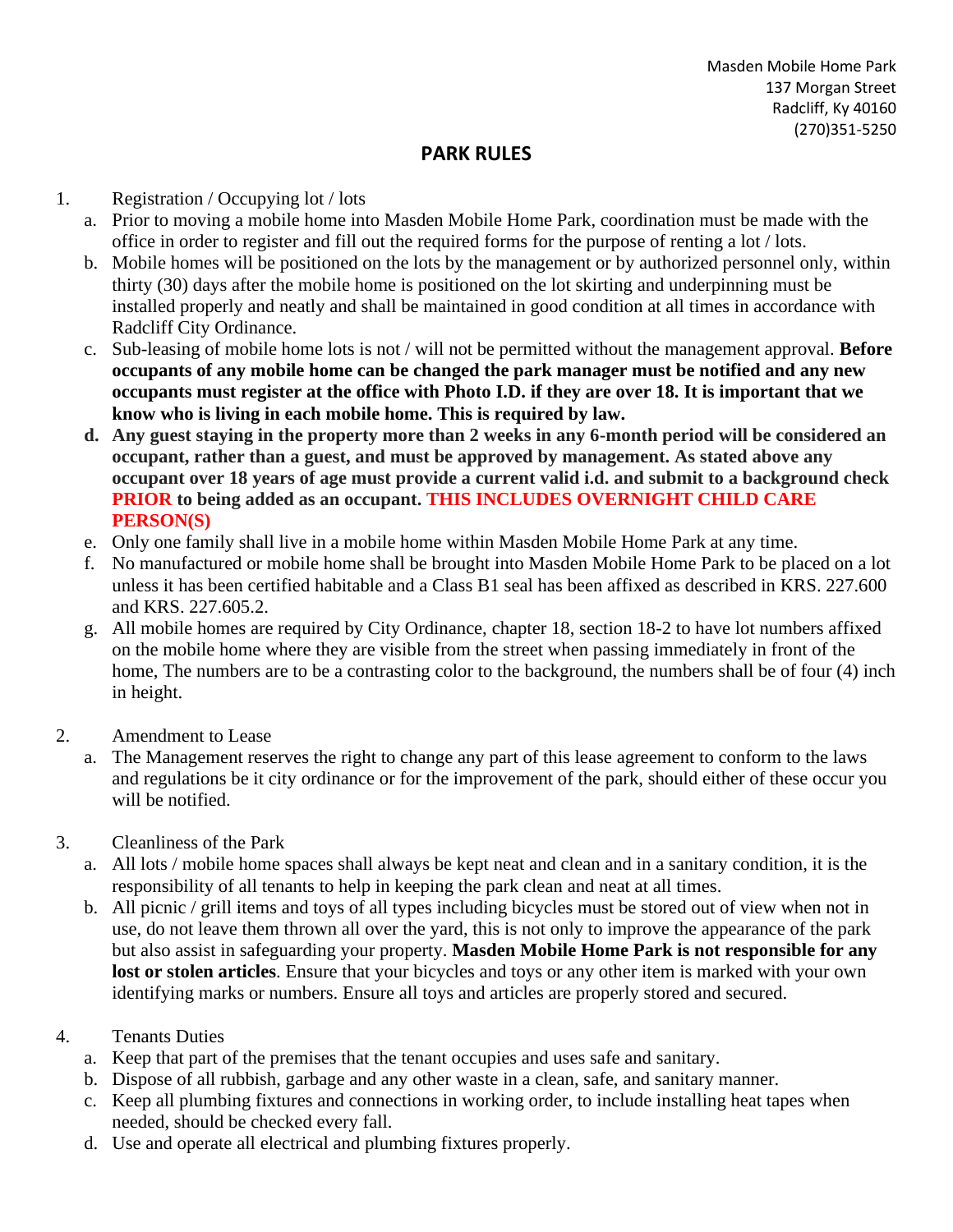## **PARK RULES**

## 1. Registration / Occupying lot / lots

- a. Prior to moving a mobile home into Masden Mobile Home Park, coordination must be made with the office in order to register and fill out the required forms for the purpose of renting a lot / lots.
- b. Mobile homes will be positioned on the lots by the management or by authorized personnel only, within thirty (30) days after the mobile home is positioned on the lot skirting and underpinning must be installed properly and neatly and shall be maintained in good condition at all times in accordance with Radcliff City Ordinance.
- c. Sub-leasing of mobile home lots is not / will not be permitted without the management approval. **Before occupants of any mobile home can be changed the park manager must be notified and any new occupants must register at the office with Photo I.D. if they are over 18. It is important that we know who is living in each mobile home. This is required by law.**
- **d. Any guest staying in the property more than 2 weeks in any 6-month period will be considered an occupant, rather than a guest, and must be approved by management. As stated above any occupant over 18 years of age must provide a current valid i.d. and submit to a background check PRIOR to being added as an occupant. THIS INCLUDES OVERNIGHT CHILD CARE PERSON(S)**
- e. Only one family shall live in a mobile home within Masden Mobile Home Park at any time.
- f. No manufactured or mobile home shall be brought into Masden Mobile Home Park to be placed on a lot unless it has been certified habitable and a Class B1 seal has been affixed as described in KRS. 227.600 and KRS. 227.605.2.
- g. All mobile homes are required by City Ordinance, chapter 18, section 18-2 to have lot numbers affixed on the mobile home where they are visible from the street when passing immediately in front of the home, The numbers are to be a contrasting color to the background, the numbers shall be of four (4) inch in height.
- 2. Amendment to Lease
	- a. The Management reserves the right to change any part of this lease agreement to conform to the laws and regulations be it city ordinance or for the improvement of the park, should either of these occur you will be notified.
- 3. Cleanliness of the Park
	- a. All lots / mobile home spaces shall always be kept neat and clean and in a sanitary condition, it is the responsibility of all tenants to help in keeping the park clean and neat at all times.
	- b. All picnic / grill items and toys of all types including bicycles must be stored out of view when not in use, do not leave them thrown all over the yard, this is not only to improve the appearance of the park but also assist in safeguarding your property. **Masden Mobile Home Park is not responsible for any lost or stolen articles**. Ensure that your bicycles and toys or any other item is marked with your own identifying marks or numbers. Ensure all toys and articles are properly stored and secured.
- 4. Tenants Duties
	- a. Keep that part of the premises that the tenant occupies and uses safe and sanitary.
	- b. Dispose of all rubbish, garbage and any other waste in a clean, safe, and sanitary manner.
	- c. Keep all plumbing fixtures and connections in working order, to include installing heat tapes when needed, should be checked every fall.
	- d. Use and operate all electrical and plumbing fixtures properly.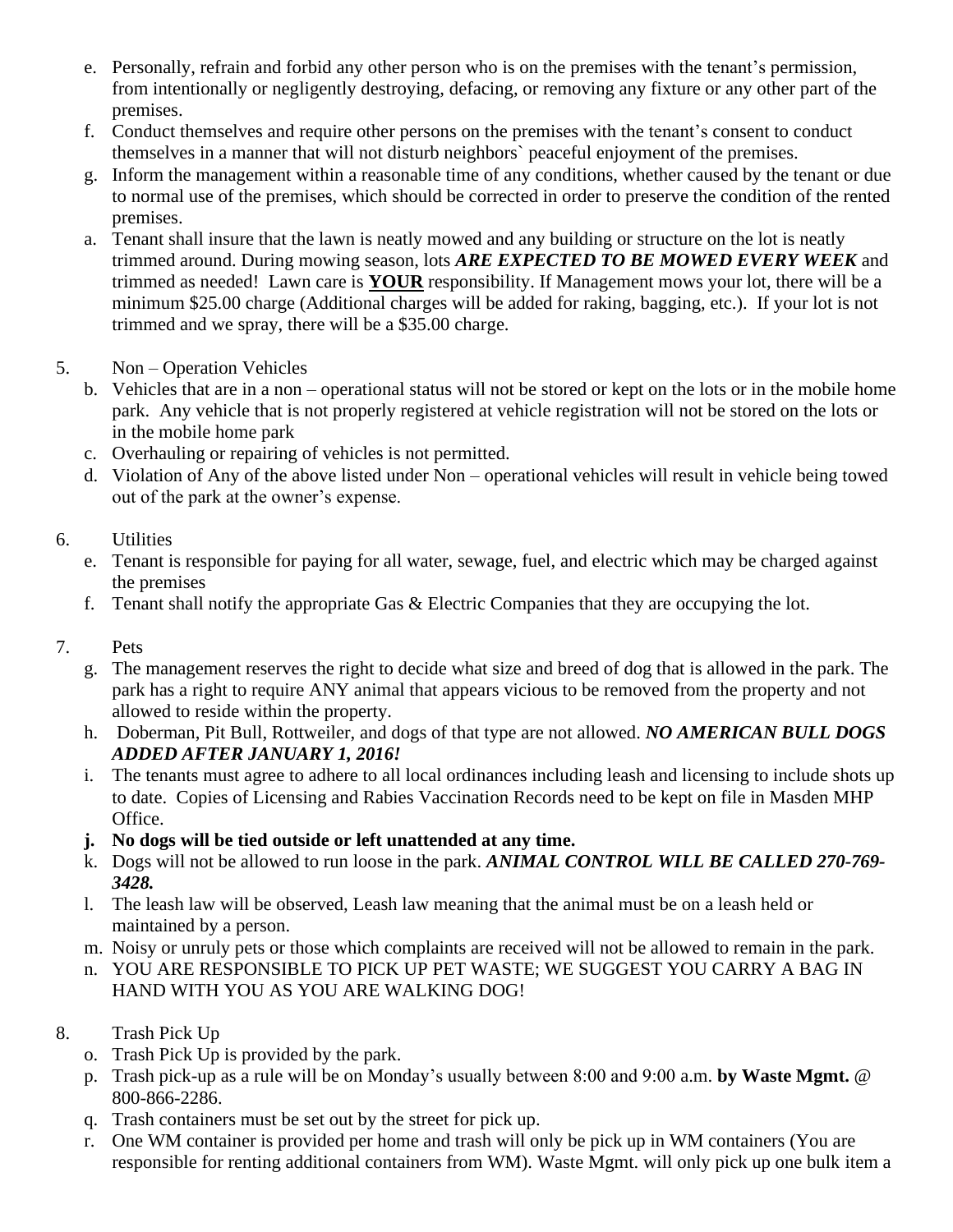- e. Personally, refrain and forbid any other person who is on the premises with the tenant's permission, from intentionally or negligently destroying, defacing, or removing any fixture or any other part of the premises.
- f. Conduct themselves and require other persons on the premises with the tenant's consent to conduct themselves in a manner that will not disturb neighbors` peaceful enjoyment of the premises.
- g. Inform the management within a reasonable time of any conditions, whether caused by the tenant or due to normal use of the premises, which should be corrected in order to preserve the condition of the rented premises.
- a. Tenant shall insure that the lawn is neatly mowed and any building or structure on the lot is neatly trimmed around. During mowing season, lots *ARE EXPECTED TO BE MOWED EVERY WEEK* and trimmed as needed! Lawn care is **YOUR** responsibility. If Management mows your lot, there will be a minimum \$25.00 charge (Additional charges will be added for raking, bagging, etc.). If your lot is not trimmed and we spray, there will be a \$35.00 charge.
- 5. Non Operation Vehicles
	- b. Vehicles that are in a non operational status will not be stored or kept on the lots or in the mobile home park. Any vehicle that is not properly registered at vehicle registration will not be stored on the lots or in the mobile home park
	- c. Overhauling or repairing of vehicles is not permitted.
	- d. Violation of Any of the above listed under Non operational vehicles will result in vehicle being towed out of the park at the owner's expense.

## 6. Utilities

- e. Tenant is responsible for paying for all water, sewage, fuel, and electric which may be charged against the premises
- f. Tenant shall notify the appropriate Gas & Electric Companies that they are occupying the lot.
- 7. Pets
	- g. The management reserves the right to decide what size and breed of dog that is allowed in the park. The park has a right to require ANY animal that appears vicious to be removed from the property and not allowed to reside within the property.
	- h. Doberman, Pit Bull, Rottweiler, and dogs of that type are not allowed. *NO AMERICAN BULL DOGS ADDED AFTER JANUARY 1, 2016!*
	- i. The tenants must agree to adhere to all local ordinances including leash and licensing to include shots up to date. Copies of Licensing and Rabies Vaccination Records need to be kept on file in Masden MHP Office.
	- **j. No dogs will be tied outside or left unattended at any time.**
	- k. Dogs will not be allowed to run loose in the park. *ANIMAL CONTROL WILL BE CALLED 270-769- 3428.*
	- l. The leash law will be observed, Leash law meaning that the animal must be on a leash held or maintained by a person.
	- m. Noisy or unruly pets or those which complaints are received will not be allowed to remain in the park.
	- n. YOU ARE RESPONSIBLE TO PICK UP PET WASTE; WE SUGGEST YOU CARRY A BAG IN HAND WITH YOU AS YOU ARE WALKING DOG!
- 8. Trash Pick Up
	- o. Trash Pick Up is provided by the park.
	- p. Trash pick-up as a rule will be on Monday's usually between 8:00 and 9:00 a.m. **by Waste Mgmt.** @ 800-866-2286.
	- q. Trash containers must be set out by the street for pick up.
	- r. One WM container is provided per home and trash will only be pick up in WM containers (You are responsible for renting additional containers from WM). Waste Mgmt. will only pick up one bulk item a